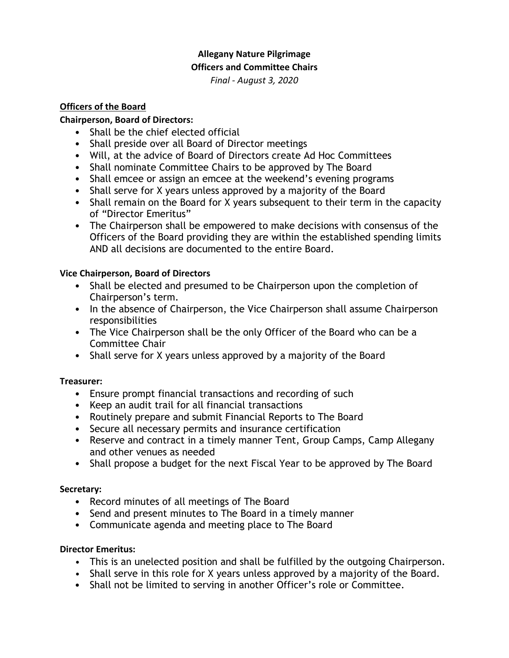#### **Allegany Nature Pilgrimage Officers and Committee Chairs**

*Final - August 3, 2020*

### **Officers of the Board**

### **Chairperson, Board of Directors:**

- Shall be the chief elected official
- Shall preside over all Board of Director meetings
- Will, at the advice of Board of Directors create Ad Hoc Committees
- Shall nominate Committee Chairs to be approved by The Board
- Shall emcee or assign an emcee at the weekend's evening programs
- Shall serve for X years unless approved by a majority of the Board
- Shall remain on the Board for X years subsequent to their term in the capacity of "Director Emeritus"
- The Chairperson shall be empowered to make decisions with consensus of the Officers of the Board providing they are within the established spending limits AND all decisions are documented to the entire Board.

## **Vice Chairperson, Board of Directors**

- Shall be elected and presumed to be Chairperson upon the completion of Chairperson's term.
- In the absence of Chairperson, the Vice Chairperson shall assume Chairperson responsibilities
- The Vice Chairperson shall be the only Officer of the Board who can be a Committee Chair
- Shall serve for X years unless approved by a majority of the Board

# **Treasurer:**

- Ensure prompt financial transactions and recording of such
- Keep an audit trail for all financial transactions
- Routinely prepare and submit Financial Reports to The Board
- Secure all necessary permits and insurance certification
- Reserve and contract in a timely manner Tent, Group Camps, Camp Allegany and other venues as needed
- Shall propose a budget for the next Fiscal Year to be approved by The Board

# **Secretary:**

- Record minutes of all meetings of The Board
- Send and present minutes to The Board in a timely manner
- Communicate agenda and meeting place to The Board

### **Director Emeritus:**

- This is an unelected position and shall be fulfilled by the outgoing Chairperson.
- Shall serve in this role for X years unless approved by a majority of the Board.
- Shall not be limited to serving in another Officer's role or Committee.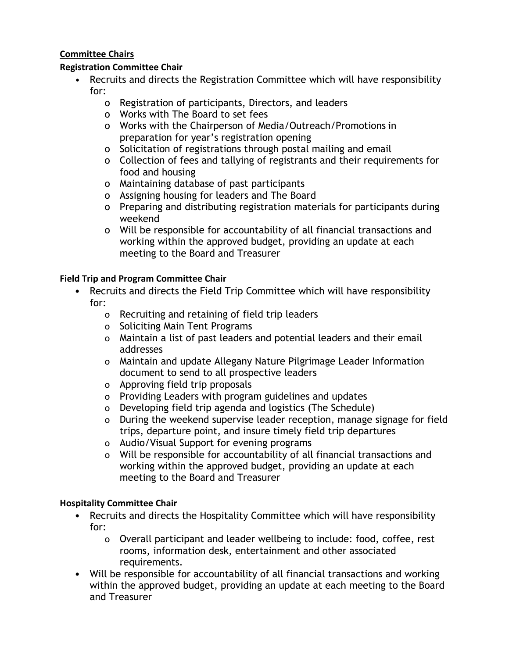## **Committee Chairs**

### **Registration Committee Chair**

- Recruits and directs the Registration Committee which will have responsibility for:
	- o Registration of participants, Directors, and leaders
	- o Works with The Board to set fees
	- o Works with the Chairperson of Media/Outreach/Promotions in preparation for year's registration opening
	- o Solicitation of registrations through postal mailing and email
	- o Collection of fees and tallying of registrants and their requirements for food and housing
	- o Maintaining database of past participants
	- o Assigning housing for leaders and The Board
	- o Preparing and distributing registration materials for participants during weekend
	- o Will be responsible for accountability of all financial transactions and working within the approved budget, providing an update at each meeting to the Board and Treasurer

### **Field Trip and Program Committee Chair**

- Recruits and directs the Field Trip Committee which will have responsibility for:
	- o Recruiting and retaining of field trip leaders
	- o Soliciting Main Tent Programs
	- o Maintain a list of past leaders and potential leaders and their email addresses
	- o Maintain and update Allegany Nature Pilgrimage Leader Information document to send to all prospective leaders
	- o Approving field trip proposals
	- o Providing Leaders with program guidelines and updates
	- o Developing field trip agenda and logistics (The Schedule)
	- o During the weekend supervise leader reception, manage signage for field trips, departure point, and insure timely field trip departures
	- o Audio/Visual Support for evening programs
	- o Will be responsible for accountability of all financial transactions and working within the approved budget, providing an update at each meeting to the Board and Treasurer

### **Hospitality Committee Chair**

- Recruits and directs the Hospitality Committee which will have responsibility for:
	- o Overall participant and leader wellbeing to include: food, coffee, rest rooms, information desk, entertainment and other associated requirements.
- Will be responsible for accountability of all financial transactions and working within the approved budget, providing an update at each meeting to the Board and Treasurer